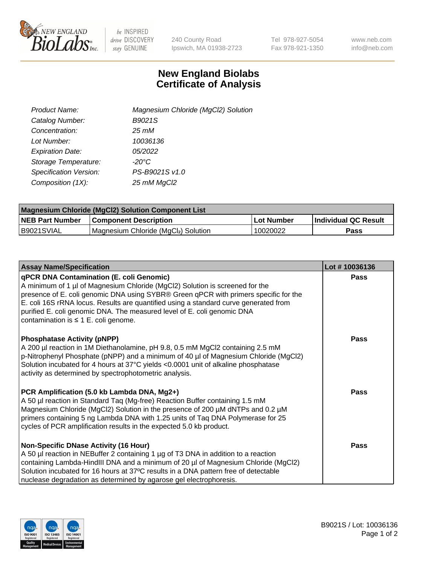

 $be$  INSPIRED drive DISCOVERY stay GENUINE

240 County Road Ipswich, MA 01938-2723 Tel 978-927-5054 Fax 978-921-1350 www.neb.com info@neb.com

## **New England Biolabs Certificate of Analysis**

| Product Name:                 | Magnesium Chloride (MgCl2) Solution |
|-------------------------------|-------------------------------------|
| Catalog Number:               | B9021S                              |
| Concentration:                | $25 \, \text{m}$ M                  |
| Lot Number:                   | 10036136                            |
| <b>Expiration Date:</b>       | 05/2022                             |
| Storage Temperature:          | $-20^{\circ}$ C                     |
| <b>Specification Version:</b> | PS-B9021S v1.0                      |
| Composition (1X):             | 25 mM MgCl2                         |

| <b>Magnesium Chloride (MgCl2) Solution Component List</b> |                                     |            |                      |  |  |
|-----------------------------------------------------------|-------------------------------------|------------|----------------------|--|--|
| <b>NEB Part Number</b>                                    | <b>Component Description</b>        | Lot Number | Individual QC Result |  |  |
| B9021SVIAL                                                | Magnesium Chloride (MgCl2) Solution | 10020022   | Pass                 |  |  |

| <b>Assay Name/Specification</b>                                                                                                                                                                                                                                                                                                                                                                                                  | Lot #10036136 |
|----------------------------------------------------------------------------------------------------------------------------------------------------------------------------------------------------------------------------------------------------------------------------------------------------------------------------------------------------------------------------------------------------------------------------------|---------------|
| qPCR DNA Contamination (E. coli Genomic)<br>A minimum of 1 µl of Magnesium Chloride (MgCl2) Solution is screened for the<br>presence of E. coli genomic DNA using SYBR® Green qPCR with primers specific for the<br>E. coli 16S rRNA locus. Results are quantified using a standard curve generated from<br>purified E. coli genomic DNA. The measured level of E. coli genomic DNA<br>contamination is $\leq 1$ E. coli genome. | <b>Pass</b>   |
| <b>Phosphatase Activity (pNPP)</b><br>A 200 µl reaction in 1M Diethanolamine, pH 9.8, 0.5 mM MgCl2 containing 2.5 mM<br>p-Nitrophenyl Phosphate (pNPP) and a minimum of 40 µl of Magnesium Chloride (MgCl2)<br>Solution incubated for 4 hours at 37°C yields <0.0001 unit of alkaline phosphatase<br>activity as determined by spectrophotometric analysis.                                                                      | <b>Pass</b>   |
| PCR Amplification (5.0 kb Lambda DNA, Mg2+)<br>A 50 µl reaction in Standard Taq (Mg-free) Reaction Buffer containing 1.5 mM<br>Magnesium Chloride (MgCl2) Solution in the presence of 200 µM dNTPs and 0.2 µM<br>primers containing 5 ng Lambda DNA with 1.25 units of Taq DNA Polymerase for 25<br>cycles of PCR amplification results in the expected 5.0 kb product.                                                          | Pass          |
| <b>Non-Specific DNase Activity (16 Hour)</b><br>A 50 µl reaction in NEBuffer 2 containing 1 µg of T3 DNA in addition to a reaction<br>containing Lambda-HindIII DNA and a minimum of 20 µl of Magnesium Chloride (MgCl2)<br>Solution incubated for 16 hours at 37°C results in a DNA pattern free of detectable<br>nuclease degradation as determined by agarose gel electrophoresis.                                            | Pass          |